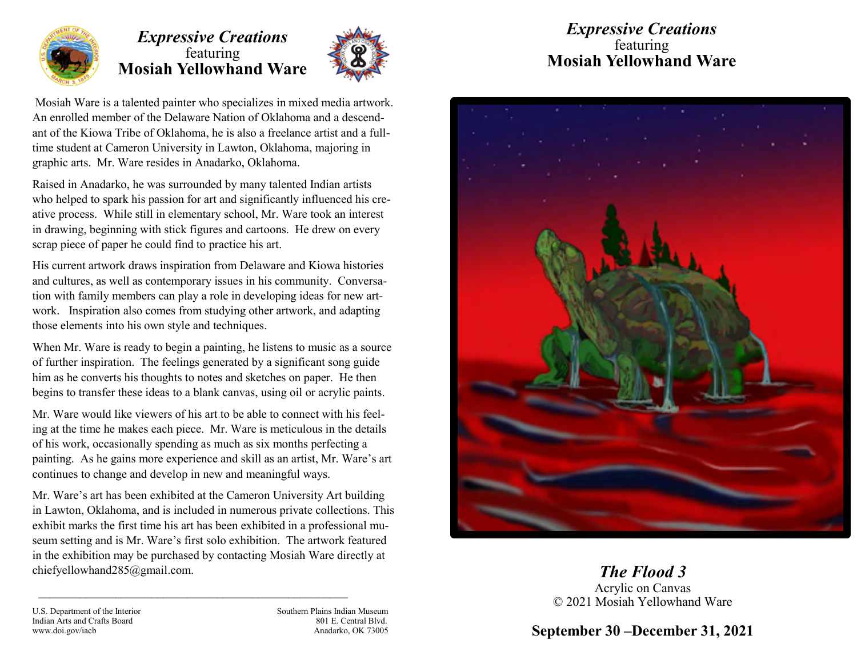

## *Expressive Creations* featuring **Mosiah Yellowhand Ware**



Mosiah Ware is a talented painter who specializes in mixed media artwork. An enrolled member of the Delaware Nation of Oklahoma and a descendant of the Kiowa Tribe of Oklahoma, he is also a freelance artist and a fulltime student at Cameron University in Lawton, Oklahoma, majoring in graphic arts. Mr. Ware resides in Anadarko, Oklahoma.

Raised in Anadarko, he was surrounded by many talented Indian artists who helped to spark his passion for art and significantly influenced his creative process. While still in elementary school, Mr. Ware took an interest in drawing, beginning with stick figures and cartoons. He drew on every scrap piece of paper he could find to practice his art.

His current artwork draws inspiration from Delaware and Kiowa histories and cultures, as well as contemporary issues in his community. Conversation with family members can play a role in developing ideas for new artwork. Inspiration also comes from studying other artwork, and adapting those elements into his own style and techniques.

When Mr. Ware is ready to begin a painting, he listens to music as a source of further inspiration. The feelings generated by a significant song guide him as he converts his thoughts to notes and sketches on paper. He then begins to transfer these ideas to a blank canvas, using oil or acrylic paints.

Mr. Ware would like viewers of his art to be able to connect with his feeling at the time he makes each piece. Mr. Ware is meticulous in the details of his work, occasionally spending as much as six months perfecting a painting. As he gains more experience and skill as an artist, Mr. Ware's art continues to change and develop in new and meaningful ways.

Mr. Ware's art has been exhibited at the Cameron University Art building in Lawton, Oklahoma, and is included in numerous private collections. This exhibit marks the first time his art has been exhibited in a professional museum setting and is Mr. Ware's first solo exhibition. The artwork featured in the exhibition may be purchased by contacting Mosiah Ware directly at chiefyellowhand285@gmail.com.

 $\mathcal{L}_\text{max}$  and the contract of the contract of the contract of the contract of the contract of the contract of the contract of the contract of the contract of the contract of the contract of the contract of the contrac

## *Expressive Creations* featuring **Mosiah Yellowhand Ware**



*The Flood 3* Acrylic on Canvas © 2021 Mosiah Yellowhand Ware

**September 30 –December 31, 2021**

U.S. Department of the Interior Southern Plains Indian Museum Indian Arts and Crafts Board 801 E. Central Blvd. www.doi.gov/iacb **Anadarko, OK 73005** Anadarko, OK 73005